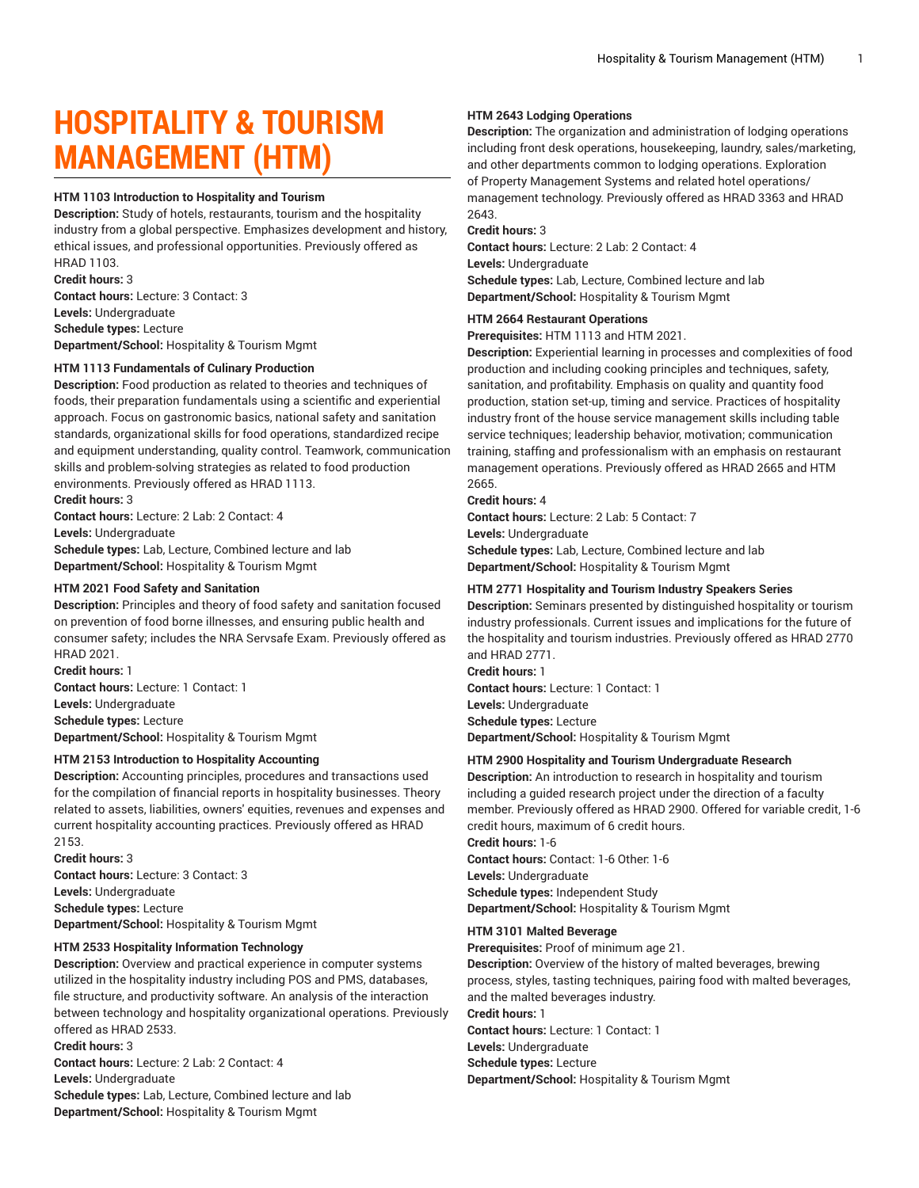# **HOSPITALITY & TOURISM MANAGEMENT (HTM)**

#### **HTM 1103 Introduction to Hospitality and Tourism**

**Description:** Study of hotels, restaurants, tourism and the hospitality industry from a global perspective. Emphasizes development and history, ethical issues, and professional opportunities. Previously offered as HRAD 1103. **Credit hours:** 3

**Contact hours:** Lecture: 3 Contact: 3 **Levels:** Undergraduate **Schedule types:** Lecture **Department/School:** Hospitality & Tourism Mgmt

## **HTM 1113 Fundamentals of Culinary Production**

**Description:** Food production as related to theories and techniques of foods, their preparation fundamentals using a scientific and experiential approach. Focus on gastronomic basics, national safety and sanitation standards, organizational skills for food operations, standardized recipe and equipment understanding, quality control. Teamwork, communication skills and problem-solving strategies as related to food production environments. Previously offered as HRAD 1113.

**Credit hours:** 3

**Contact hours:** Lecture: 2 Lab: 2 Contact: 4 **Levels:** Undergraduate **Schedule types:** Lab, Lecture, Combined lecture and lab **Department/School:** Hospitality & Tourism Mgmt

#### **HTM 2021 Food Safety and Sanitation**

**Description:** Principles and theory of food safety and sanitation focused on prevention of food borne illnesses, and ensuring public health and consumer safety; includes the NRA Servsafe Exam. Previously offered as HRAD 2021.

**Credit hours:** 1 **Contact hours:** Lecture: 1 Contact: 1 **Levels:** Undergraduate **Schedule types:** Lecture **Department/School:** Hospitality & Tourism Mgmt

#### **HTM 2153 Introduction to Hospitality Accounting**

**Description:** Accounting principles, procedures and transactions used for the compilation of financial reports in hospitality businesses. Theory related to assets, liabilities, owners' equities, revenues and expenses and current hospitality accounting practices. Previously offered as HRAD 2153.

**Credit hours:** 3 **Contact hours:** Lecture: 3 Contact: 3 **Levels:** Undergraduate **Schedule types:** Lecture **Department/School:** Hospitality & Tourism Mgmt

#### **HTM 2533 Hospitality Information Technology**

**Description:** Overview and practical experience in computer systems utilized in the hospitality industry including POS and PMS, databases, file structure, and productivity software. An analysis of the interaction between technology and hospitality organizational operations. Previously offered as HRAD 2533.

**Credit hours:** 3 **Contact hours:** Lecture: 2 Lab: 2 Contact: 4 **Levels:** Undergraduate **Schedule types:** Lab, Lecture, Combined lecture and lab **Department/School:** Hospitality & Tourism Mgmt

#### **HTM 2643 Lodging Operations**

**Description:** The organization and administration of lodging operations including front desk operations, housekeeping, laundry, sales/marketing, and other departments common to lodging operations. Exploration of Property Management Systems and related hotel operations/ management technology. Previously offered as HRAD 3363 and HRAD 2643.

## **Credit hours:** 3

**Contact hours:** Lecture: 2 Lab: 2 Contact: 4 **Levels:** Undergraduate **Schedule types:** Lab, Lecture, Combined lecture and lab **Department/School:** Hospitality & Tourism Mgmt

#### **HTM 2664 Restaurant Operations**

**Prerequisites:** HTM 1113 and HTM 2021.

**Description:** Experiential learning in processes and complexities of food production and including cooking principles and techniques, safety, sanitation, and profitability. Emphasis on quality and quantity food production, station set-up, timing and service. Practices of hospitality industry front of the house service management skills including table service techniques; leadership behavior, motivation; communication training, staffing and professionalism with an emphasis on restaurant management operations. Previously offered as HRAD 2665 and HTM 2665.

#### **Credit hours:** 4

**Contact hours:** Lecture: 2 Lab: 5 Contact: 7 **Levels:** Undergraduate **Schedule types:** Lab, Lecture, Combined lecture and lab **Department/School:** Hospitality & Tourism Mgmt

#### **HTM 2771 Hospitality and Tourism Industry Speakers Series**

**Description:** Seminars presented by distinguished hospitality or tourism industry professionals. Current issues and implications for the future of the hospitality and tourism industries. Previously offered as HRAD 2770 and HRAD 2771.

**Credit hours:** 1 **Contact hours:** Lecture: 1 Contact: 1 **Levels:** Undergraduate **Schedule types:** Lecture

**Department/School:** Hospitality & Tourism Mgmt

## **HTM 2900 Hospitality and Tourism Undergraduate Research**

**Description:** An introduction to research in hospitality and tourism including a guided research project under the direction of a faculty member. Previously offered as HRAD 2900. Offered for variable credit, 1-6 credit hours, maximum of 6 credit hours.

**Credit hours:** 1-6 **Contact hours:** Contact: 1-6 Other: 1-6 **Levels:** Undergraduate **Schedule types:** Independent Study **Department/School:** Hospitality & Tourism Mgmt

#### **HTM 3101 Malted Beverage**

**Prerequisites:** Proof of minimum age 21.

**Description:** Overview of the history of malted beverages, brewing process, styles, tasting techniques, pairing food with malted beverages, and the malted beverages industry. **Credit hours:** 1 **Contact hours:** Lecture: 1 Contact: 1

**Levels:** Undergraduate **Schedule types:** Lecture

**Department/School:** Hospitality & Tourism Mgmt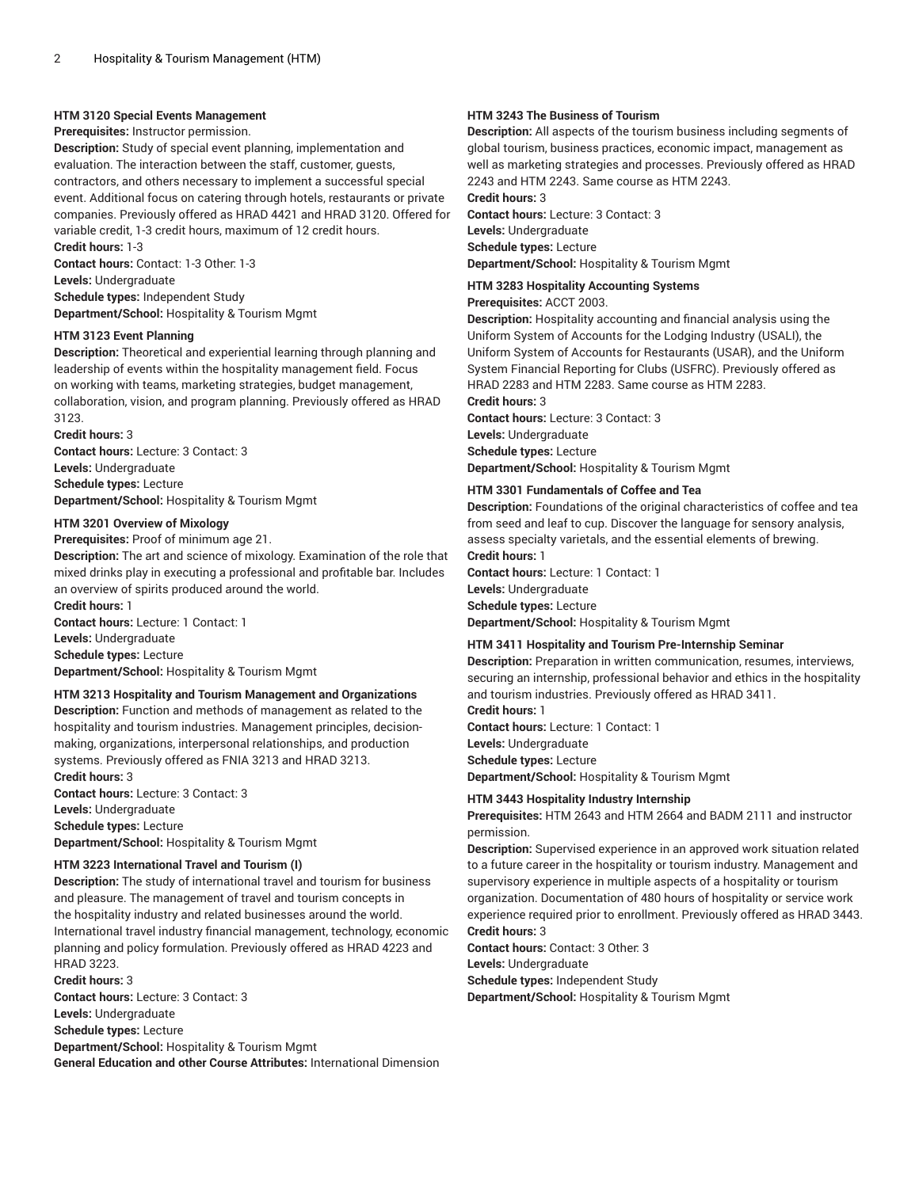## **HTM 3120 Special Events Management**

## **Prerequisites:** Instructor permission.

**Description:** Study of special event planning, implementation and evaluation. The interaction between the staff, customer, guests, contractors, and others necessary to implement a successful special event. Additional focus on catering through hotels, restaurants or private companies. Previously offered as HRAD 4421 and HRAD 3120. Offered for variable credit, 1-3 credit hours, maximum of 12 credit hours. **Credit hours:** 1-3

**Contact hours:** Contact: 1-3 Other: 1-3

**Levels:** Undergraduate

**Schedule types:** Independent Study **Department/School:** Hospitality & Tourism Mgmt

#### **HTM 3123 Event Planning**

**Description:** Theoretical and experiential learning through planning and leadership of events within the hospitality management field. Focus on working with teams, marketing strategies, budget management, collaboration, vision, and program planning. Previously offered as HRAD 3123.

**Credit hours:** 3 **Contact hours:** Lecture: 3 Contact: 3 **Levels:** Undergraduate **Schedule types:** Lecture **Department/School:** Hospitality & Tourism Mgmt

## **HTM 3201 Overview of Mixology**

**Prerequisites:** Proof of minimum age 21.

**Description:** The art and science of mixology. Examination of the role that mixed drinks play in executing a professional and profitable bar. Includes an overview of spirits produced around the world. **Credit hours:** 1

**Contact hours:** Lecture: 1 Contact: 1 **Levels:** Undergraduate **Schedule types:** Lecture **Department/School:** Hospitality & Tourism Mgmt

## **HTM 3213 Hospitality and Tourism Management and Organizations**

**Description:** Function and methods of management as related to the hospitality and tourism industries. Management principles, decisionmaking, organizations, interpersonal relationships, and production systems. Previously offered as FNIA 3213 and HRAD 3213. **Credit hours:** 3

**Contact hours:** Lecture: 3 Contact: 3 **Levels:** Undergraduate **Schedule types:** Lecture **Department/School:** Hospitality & Tourism Mgmt

#### **HTM 3223 International Travel and Tourism (I)**

**Description:** The study of international travel and tourism for business and pleasure. The management of travel and tourism concepts in the hospitality industry and related businesses around the world. International travel industry financial management, technology, economic planning and policy formulation. Previously offered as HRAD 4223 and HRAD 3223.

**Credit hours:** 3 **Contact hours:** Lecture: 3 Contact: 3 **Levels:** Undergraduate **Schedule types:** Lecture **Department/School:** Hospitality & Tourism Mgmt **General Education and other Course Attributes:** International Dimension

## **HTM 3243 The Business of Tourism**

**Description:** All aspects of the tourism business including segments of global tourism, business practices, economic impact, management as well as marketing strategies and processes. Previously offered as HRAD 2243 and HTM 2243. Same course as HTM 2243.

**Credit hours:** 3

**Contact hours:** Lecture: 3 Contact: 3 **Levels:** Undergraduate **Schedule types:** Lecture **Department/School:** Hospitality & Tourism Mgmt

**HTM 3283 Hospitality Accounting Systems**

**Prerequisites:** ACCT 2003.

**Description:** Hospitality accounting and financial analysis using the Uniform System of Accounts for the Lodging Industry (USALI), the Uniform System of Accounts for Restaurants (USAR), and the Uniform System Financial Reporting for Clubs (USFRC). Previously offered as HRAD 2283 and HTM 2283. Same course as HTM 2283. **Credit hours:** 3

**Contact hours:** Lecture: 3 Contact: 3 **Levels:** Undergraduate **Schedule types:** Lecture **Department/School:** Hospitality & Tourism Mgmt

## **HTM 3301 Fundamentals of Coffee and Tea**

**Description:** Foundations of the original characteristics of coffee and tea from seed and leaf to cup. Discover the language for sensory analysis, assess specialty varietals, and the essential elements of brewing. **Credit hours:** 1

**Contact hours:** Lecture: 1 Contact: 1 **Levels:** Undergraduate **Schedule types:** Lecture **Department/School:** Hospitality & Tourism Mgmt

## **HTM 3411 Hospitality and Tourism Pre-Internship Seminar**

**Description:** Preparation in written communication, resumes, interviews, securing an internship, professional behavior and ethics in the hospitality and tourism industries. Previously offered as HRAD 3411.

**Credit hours:** 1 **Contact hours:** Lecture: 1 Contact: 1 **Levels:** Undergraduate **Schedule types:** Lecture **Department/School:** Hospitality & Tourism Mgmt

#### **HTM 3443 Hospitality Industry Internship**

**Prerequisites:** HTM 2643 and HTM 2664 and BADM 2111 and instructor permission.

**Description:** Supervised experience in an approved work situation related to a future career in the hospitality or tourism industry. Management and supervisory experience in multiple aspects of a hospitality or tourism organization. Documentation of 480 hours of hospitality or service work experience required prior to enrollment. Previously offered as HRAD 3443.

# **Credit hours:** 3

**Contact hours:** Contact: 3 Other: 3 **Levels:** Undergraduate **Schedule types:** Independent Study

**Department/School:** Hospitality & Tourism Mgmt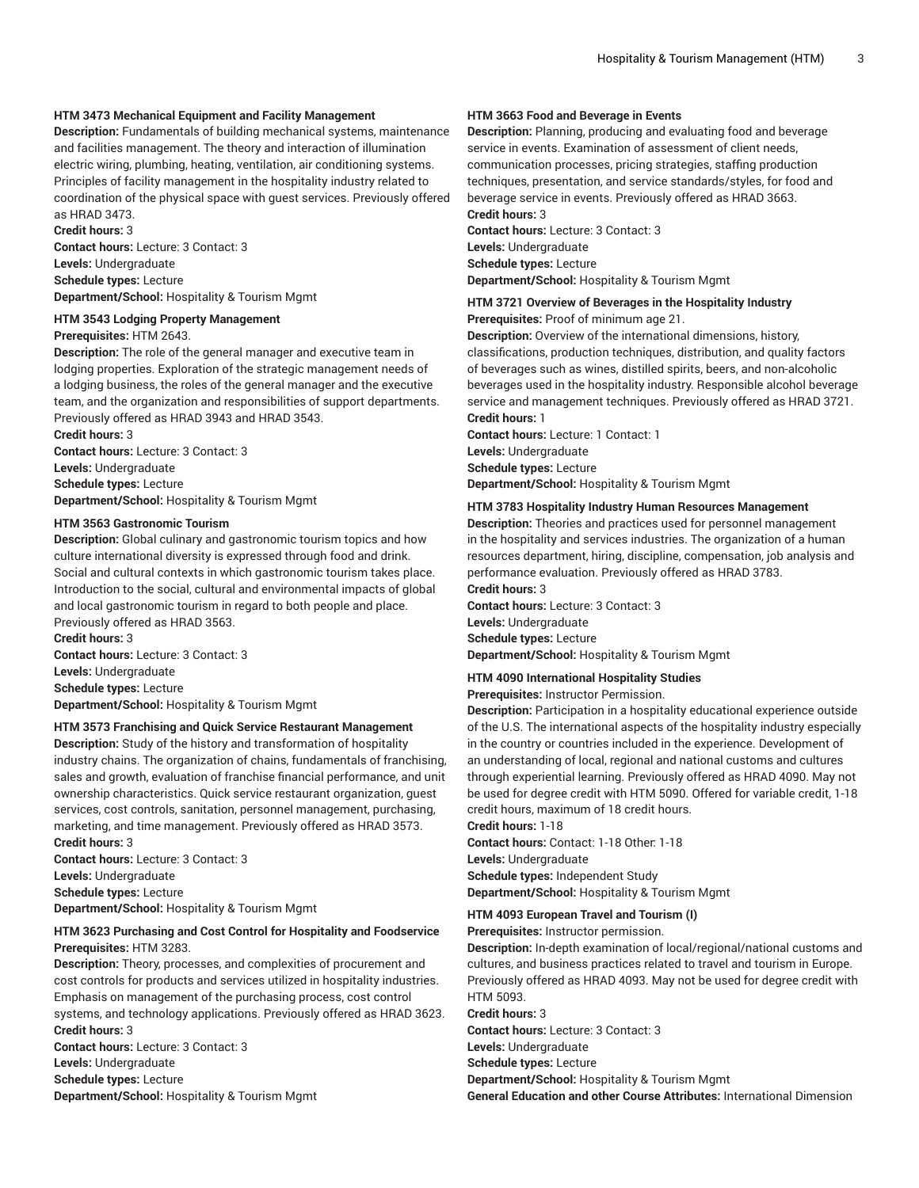#### **HTM 3473 Mechanical Equipment and Facility Management**

**Description:** Fundamentals of building mechanical systems, maintenance and facilities management. The theory and interaction of illumination electric wiring, plumbing, heating, ventilation, air conditioning systems. Principles of facility management in the hospitality industry related to coordination of the physical space with guest services. Previously offered as HRAD 3473.

**Credit hours:** 3 **Contact hours:** Lecture: 3 Contact: 3 **Levels:** Undergraduate **Schedule types:** Lecture **Department/School:** Hospitality & Tourism Mgmt

**HTM 3543 Lodging Property Management Prerequisites:** HTM 2643.

**Description:** The role of the general manager and executive team in lodging properties. Exploration of the strategic management needs of a lodging business, the roles of the general manager and the executive team, and the organization and responsibilities of support departments. Previously offered as HRAD 3943 and HRAD 3543.

**Credit hours:** 3 **Contact hours:** Lecture: 3 Contact: 3 **Levels:** Undergraduate **Schedule types:** Lecture **Department/School:** Hospitality & Tourism Mgmt

#### **HTM 3563 Gastronomic Tourism**

**Description:** Global culinary and gastronomic tourism topics and how culture international diversity is expressed through food and drink. Social and cultural contexts in which gastronomic tourism takes place. Introduction to the social, cultural and environmental impacts of global and local gastronomic tourism in regard to both people and place. Previously offered as HRAD 3563.

**Credit hours:** 3 **Contact hours:** Lecture: 3 Contact: 3 **Levels:** Undergraduate **Schedule types:** Lecture **Department/School:** Hospitality & Tourism Mgmt

#### **HTM 3573 Franchising and Quick Service Restaurant Management**

**Description:** Study of the history and transformation of hospitality industry chains. The organization of chains, fundamentals of franchising, sales and growth, evaluation of franchise financial performance, and unit ownership characteristics. Quick service restaurant organization, guest services, cost controls, sanitation, personnel management, purchasing, marketing, and time management. Previously offered as HRAD 3573. **Credit hours:** 3

**Contact hours:** Lecture: 3 Contact: 3 **Levels:** Undergraduate **Schedule types:** Lecture **Department/School:** Hospitality & Tourism Mgmt

#### **HTM 3623 Purchasing and Cost Control for Hospitality and Foodservice Prerequisites:** HTM 3283.

**Description:** Theory, processes, and complexities of procurement and cost controls for products and services utilized in hospitality industries. Emphasis on management of the purchasing process, cost control systems, and technology applications. Previously offered as HRAD 3623. **Credit hours:** 3 **Contact hours:** Lecture: 3 Contact: 3

**Levels:** Undergraduate

- **Schedule types:** Lecture
- **Department/School:** Hospitality & Tourism Mgmt

## **HTM 3663 Food and Beverage in Events**

**Description:** Planning, producing and evaluating food and beverage service in events. Examination of assessment of client needs, communication processes, pricing strategies, staffing production techniques, presentation, and service standards/styles, for food and beverage service in events. Previously offered as HRAD 3663. **Credit hours:** 3

**Contact hours:** Lecture: 3 Contact: 3 **Levels:** Undergraduate **Schedule types:** Lecture **Department/School:** Hospitality & Tourism Mgmt

# **HTM 3721 Overview of Beverages in the Hospitality Industry**

**Prerequisites:** Proof of minimum age 21.

**Description:** Overview of the international dimensions, history, classifications, production techniques, distribution, and quality factors of beverages such as wines, distilled spirits, beers, and non-alcoholic beverages used in the hospitality industry. Responsible alcohol beverage service and management techniques. Previously offered as HRAD 3721. **Credit hours:** 1

**Contact hours:** Lecture: 1 Contact: 1 **Levels:** Undergraduate **Schedule types:** Lecture **Department/School:** Hospitality & Tourism Mgmt

#### **HTM 3783 Hospitality Industry Human Resources Management**

**Description:** Theories and practices used for personnel management in the hospitality and services industries. The organization of a human resources department, hiring, discipline, compensation, job analysis and performance evaluation. Previously offered as HRAD 3783.

**Credit hours:** 3

**Contact hours:** Lecture: 3 Contact: 3 **Levels:** Undergraduate **Schedule types:** Lecture **Department/School:** Hospitality & Tourism Mgmt

#### **HTM 4090 International Hospitality Studies**

**Prerequisites:** Instructor Permission.

**Description:** Participation in a hospitality educational experience outside of the U.S. The international aspects of the hospitality industry especially in the country or countries included in the experience. Development of an understanding of local, regional and national customs and cultures through experiential learning. Previously offered as HRAD 4090. May not be used for degree credit with HTM 5090. Offered for variable credit, 1-18 credit hours, maximum of 18 credit hours.

**Credit hours:** 1-18

**Contact hours:** Contact: 1-18 Other: 1-18

**Levels:** Undergraduate **Schedule types:** Independent Study

**Department/School:** Hospitality & Tourism Mgmt

**HTM 4093 European Travel and Tourism (I)**

**Prerequisites:** Instructor permission.

**Description:** In-depth examination of local/regional/national customs and cultures, and business practices related to travel and tourism in Europe. Previously offered as HRAD 4093. May not be used for degree credit with HTM 5093.

#### **Credit hours:** 3

**Contact hours:** Lecture: 3 Contact: 3

**Levels:** Undergraduate

**Schedule types:** Lecture

**Department/School:** Hospitality & Tourism Mgmt

**General Education and other Course Attributes:** International Dimension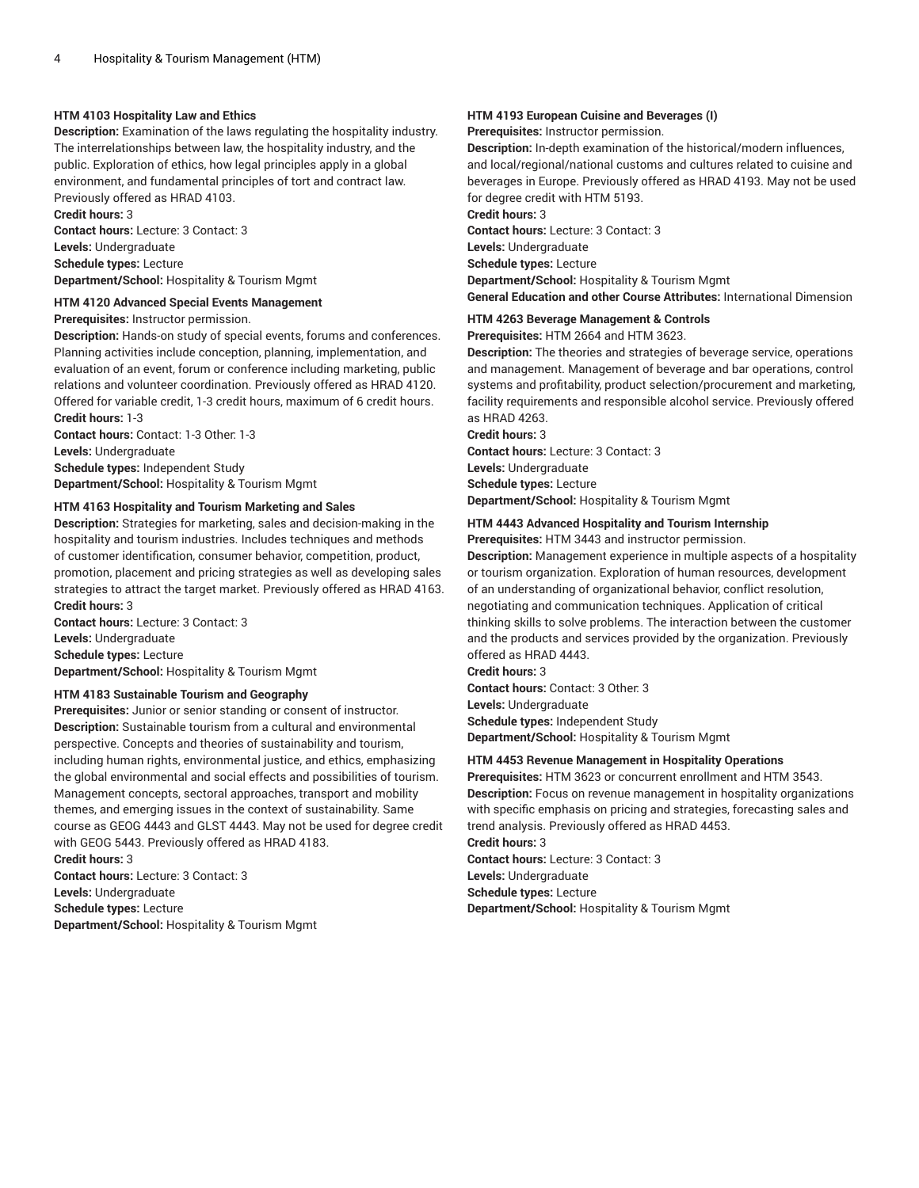#### **HTM 4103 Hospitality Law and Ethics**

**Description:** Examination of the laws regulating the hospitality industry. The interrelationships between law, the hospitality industry, and the public. Exploration of ethics, how legal principles apply in a global environment, and fundamental principles of tort and contract law. Previously offered as HRAD 4103. **Credit hours:** 3

**Contact hours:** Lecture: 3 Contact: 3 **Levels:** Undergraduate **Schedule types:** Lecture **Department/School:** Hospitality & Tourism Mgmt

# **HTM 4120 Advanced Special Events Management**

**Prerequisites:** Instructor permission.

**Description:** Hands-on study of special events, forums and conferences. Planning activities include conception, planning, implementation, and evaluation of an event, forum or conference including marketing, public relations and volunteer coordination. Previously offered as HRAD 4120. Offered for variable credit, 1-3 credit hours, maximum of 6 credit hours. **Credit hours:** 1-3

**Contact hours:** Contact: 1-3 Other: 1-3 **Levels:** Undergraduate **Schedule types:** Independent Study **Department/School:** Hospitality & Tourism Mgmt

#### **HTM 4163 Hospitality and Tourism Marketing and Sales**

**Description:** Strategies for marketing, sales and decision-making in the hospitality and tourism industries. Includes techniques and methods of customer identification, consumer behavior, competition, product, promotion, placement and pricing strategies as well as developing sales strategies to attract the target market. Previously offered as HRAD 4163. **Credit hours:** 3

**Contact hours:** Lecture: 3 Contact: 3 **Levels:** Undergraduate **Schedule types:** Lecture **Department/School:** Hospitality & Tourism Mgmt

## **HTM 4183 Sustainable Tourism and Geography**

**Prerequisites:** Junior or senior standing or consent of instructor. **Description:** Sustainable tourism from a cultural and environmental perspective. Concepts and theories of sustainability and tourism, including human rights, environmental justice, and ethics, emphasizing the global environmental and social effects and possibilities of tourism. Management concepts, sectoral approaches, transport and mobility themes, and emerging issues in the context of sustainability. Same course as GEOG 4443 and GLST 4443. May not be used for degree credit with GEOG 5443. Previously offered as HRAD 4183. **Credit hours:** 3

**Contact hours:** Lecture: 3 Contact: 3 **Levels:** Undergraduate **Schedule types:** Lecture **Department/School:** Hospitality & Tourism Mgmt

## **HTM 4193 European Cuisine and Beverages (I)**

**Prerequisites:** Instructor permission.

**Description:** In-depth examination of the historical/modern influences, and local/regional/national customs and cultures related to cuisine and beverages in Europe. Previously offered as HRAD 4193. May not be used for degree credit with HTM 5193.

**Credit hours:** 3

**Contact hours:** Lecture: 3 Contact: 3 **Levels:** Undergraduate

**Schedule types:** Lecture

**Department/School:** Hospitality & Tourism Mgmt

**General Education and other Course Attributes:** International Dimension

**HTM 4263 Beverage Management & Controls**

**Prerequisites:** HTM 2664 and HTM 3623.

**Description:** The theories and strategies of beverage service, operations and management. Management of beverage and bar operations, control systems and profitability, product selection/procurement and marketing, facility requirements and responsible alcohol service. Previously offered as HRAD 4263.

**Credit hours:** 3

**Contact hours:** Lecture: 3 Contact: 3 **Levels:** Undergraduate **Schedule types:** Lecture **Department/School:** Hospitality & Tourism Mgmt

## **HTM 4443 Advanced Hospitality and Tourism Internship**

**Prerequisites:** HTM 3443 and instructor permission.

**Description:** Management experience in multiple aspects of a hospitality or tourism organization. Exploration of human resources, development of an understanding of organizational behavior, conflict resolution, negotiating and communication techniques. Application of critical thinking skills to solve problems. The interaction between the customer and the products and services provided by the organization. Previously offered as HRAD 4443.

**Credit hours:** 3

**Contact hours:** Contact: 3 Other: 3 **Levels:** Undergraduate **Schedule types:** Independent Study **Department/School:** Hospitality & Tourism Mgmt

#### **HTM 4453 Revenue Management in Hospitality Operations**

**Prerequisites:** HTM 3623 or concurrent enrollment and HTM 3543. **Description:** Focus on revenue management in hospitality organizations with specific emphasis on pricing and strategies, forecasting sales and trend analysis. Previously offered as HRAD 4453.

**Credit hours:** 3

**Contact hours:** Lecture: 3 Contact: 3 **Levels:** Undergraduate **Schedule types:** Lecture **Department/School:** Hospitality & Tourism Mgmt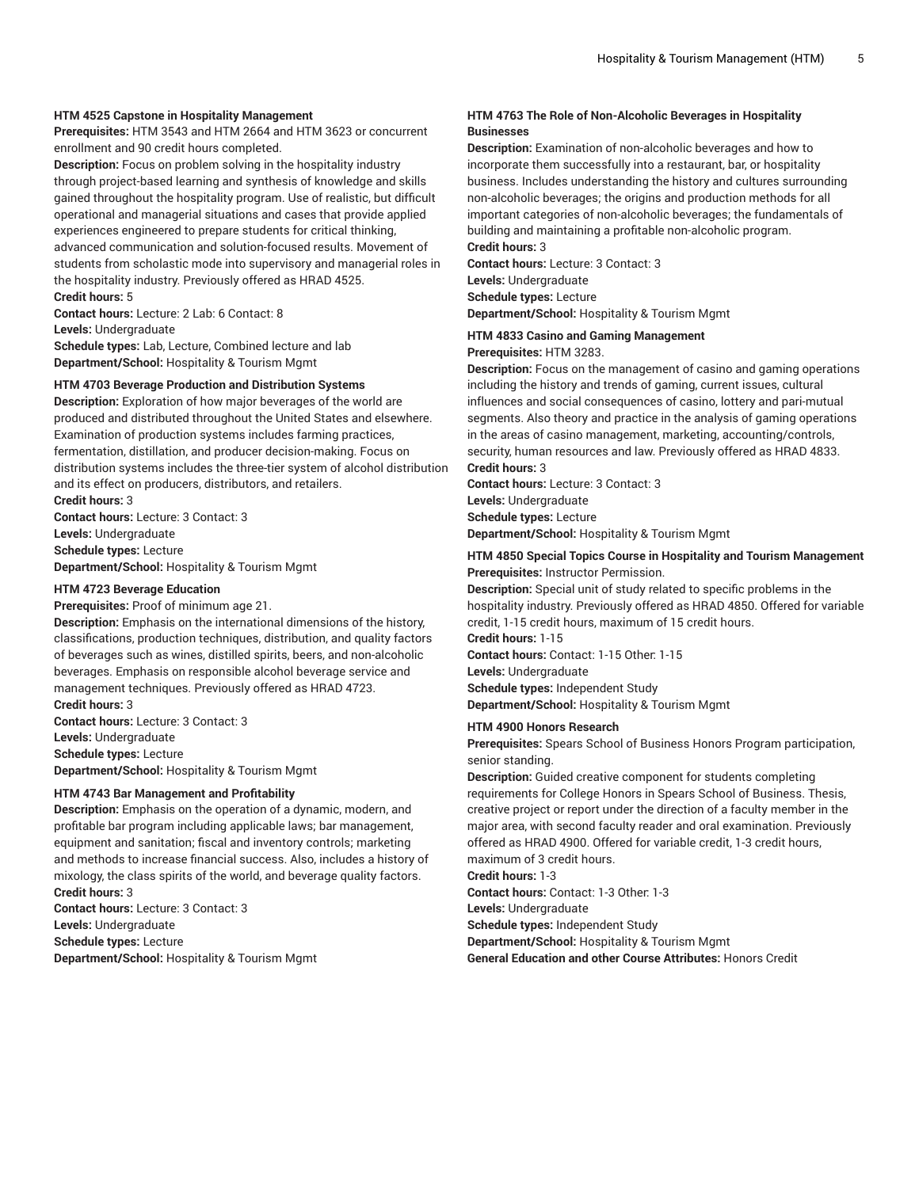#### **HTM 4525 Capstone in Hospitality Management**

**Prerequisites:** HTM 3543 and HTM 2664 and HTM 3623 or concurrent enrollment and 90 credit hours completed.

**Description:** Focus on problem solving in the hospitality industry through project-based learning and synthesis of knowledge and skills gained throughout the hospitality program. Use of realistic, but difficult operational and managerial situations and cases that provide applied experiences engineered to prepare students for critical thinking, advanced communication and solution-focused results. Movement of students from scholastic mode into supervisory and managerial roles in the hospitality industry. Previously offered as HRAD 4525. **Credit hours:** 5

**Contact hours:** Lecture: 2 Lab: 6 Contact: 8 **Levels:** Undergraduate **Schedule types:** Lab, Lecture, Combined lecture and lab

**Department/School:** Hospitality & Tourism Mgmt

# **HTM 4703 Beverage Production and Distribution Systems**

**Description:** Exploration of how major beverages of the world are produced and distributed throughout the United States and elsewhere. Examination of production systems includes farming practices, fermentation, distillation, and producer decision-making. Focus on distribution systems includes the three-tier system of alcohol distribution and its effect on producers, distributors, and retailers. **Credit hours:** 3

**Contact hours:** Lecture: 3 Contact: 3 **Levels:** Undergraduate **Schedule types:** Lecture **Department/School:** Hospitality & Tourism Mgmt

#### **HTM 4723 Beverage Education**

**Prerequisites:** Proof of minimum age 21.

**Description:** Emphasis on the international dimensions of the history, classifications, production techniques, distribution, and quality factors of beverages such as wines, distilled spirits, beers, and non-alcoholic beverages. Emphasis on responsible alcohol beverage service and management techniques. Previously offered as HRAD 4723. **Credit hours:** 3

**Contact hours:** Lecture: 3 Contact: 3 **Levels:** Undergraduate **Schedule types:** Lecture **Department/School:** Hospitality & Tourism Mgmt

#### **HTM 4743 Bar Management and Profitability**

**Description:** Emphasis on the operation of a dynamic, modern, and profitable bar program including applicable laws; bar management, equipment and sanitation; fiscal and inventory controls; marketing and methods to increase financial success. Also, includes a history of mixology, the class spirits of the world, and beverage quality factors. **Credit hours:** 3

**Contact hours:** Lecture: 3 Contact: 3 **Levels:** Undergraduate **Schedule types:** Lecture **Department/School:** Hospitality & Tourism Mgmt

#### **HTM 4763 The Role of Non-Alcoholic Beverages in Hospitality Businesses**

**Description:** Examination of non-alcoholic beverages and how to incorporate them successfully into a restaurant, bar, or hospitality business. Includes understanding the history and cultures surrounding non-alcoholic beverages; the origins and production methods for all important categories of non-alcoholic beverages; the fundamentals of building and maintaining a profitable non-alcoholic program. **Credit hours:** 3

**Contact hours:** Lecture: 3 Contact: 3 **Levels:** Undergraduate **Schedule types:** Lecture **Department/School:** Hospitality & Tourism Mgmt

#### **HTM 4833 Casino and Gaming Management**

**Prerequisites:** HTM 3283.

**Description:** Focus on the management of casino and gaming operations including the history and trends of gaming, current issues, cultural influences and social consequences of casino, lottery and pari-mutual segments. Also theory and practice in the analysis of gaming operations in the areas of casino management, marketing, accounting/controls, security, human resources and law. Previously offered as HRAD 4833. **Credit hours:** 3

**Contact hours:** Lecture: 3 Contact: 3 **Levels:** Undergraduate **Schedule types:** Lecture **Department/School:** Hospitality & Tourism Mgmt

## **HTM 4850 Special Topics Course in Hospitality and Tourism Management Prerequisites:** Instructor Permission.

**Description:** Special unit of study related to specific problems in the hospitality industry. Previously offered as HRAD 4850. Offered for variable credit, 1-15 credit hours, maximum of 15 credit hours. **Credit hours:** 1-15

**Contact hours:** Contact: 1-15 Other: 1-15 **Levels:** Undergraduate **Schedule types:** Independent Study

**Department/School:** Hospitality & Tourism Mgmt

#### **HTM 4900 Honors Research**

**Prerequisites:** Spears School of Business Honors Program participation, senior standing.

**Description:** Guided creative component for students completing requirements for College Honors in Spears School of Business. Thesis, creative project or report under the direction of a faculty member in the major area, with second faculty reader and oral examination. Previously offered as HRAD 4900. Offered for variable credit, 1-3 credit hours, maximum of 3 credit hours.

**Credit hours:** 1-3

**Contact hours:** Contact: 1-3 Other: 1-3

**Levels:** Undergraduate

**Schedule types:** Independent Study

**Department/School:** Hospitality & Tourism Mgmt

**General Education and other Course Attributes:** Honors Credit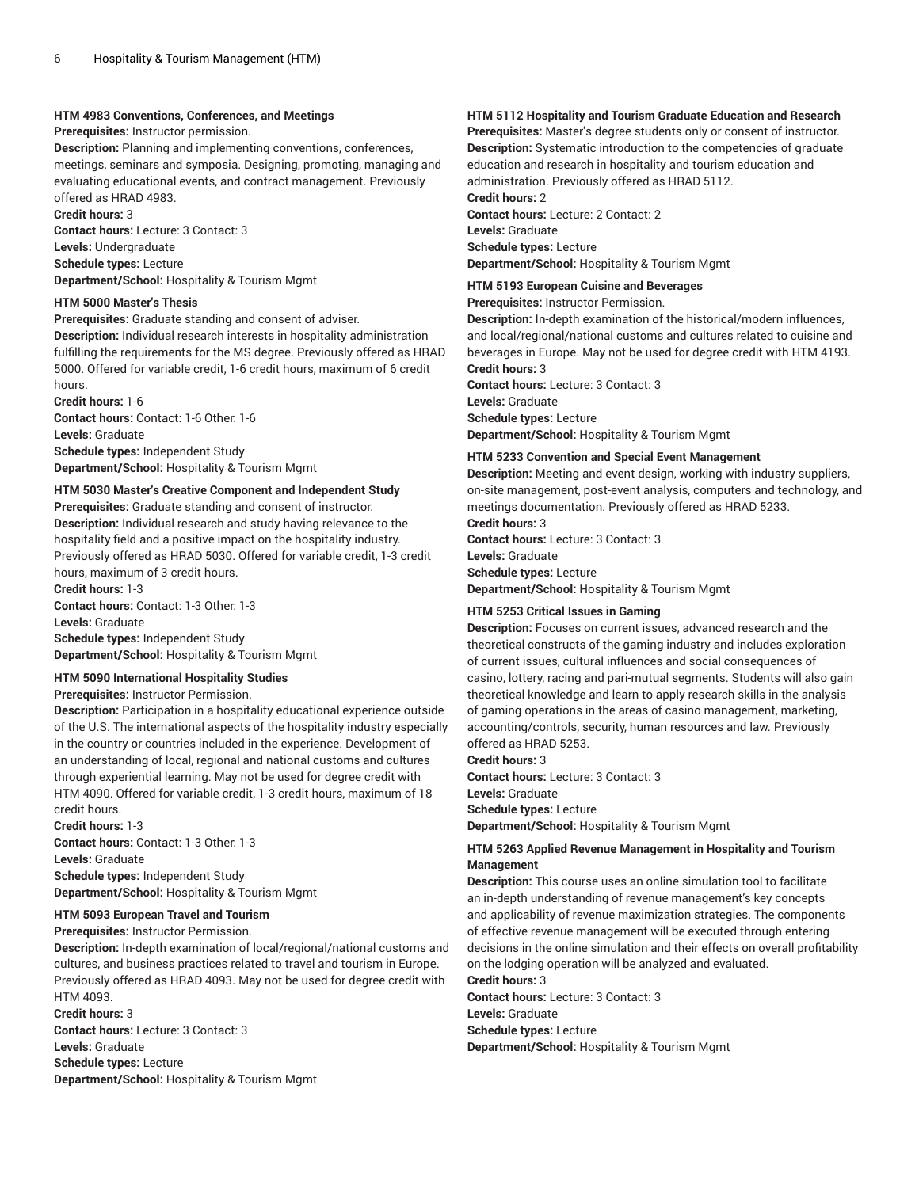#### **HTM 4983 Conventions, Conferences, and Meetings**

**Prerequisites:** Instructor permission.

**Description:** Planning and implementing conventions, conferences, meetings, seminars and symposia. Designing, promoting, managing and evaluating educational events, and contract management. Previously offered as HRAD 4983.

**Credit hours:** 3

**Contact hours:** Lecture: 3 Contact: 3 **Levels:** Undergraduate **Schedule types:** Lecture **Department/School:** Hospitality & Tourism Mgmt

#### **HTM 5000 Master's Thesis**

**Prerequisites:** Graduate standing and consent of adviser. **Description:** Individual research interests in hospitality administration fulfilling the requirements for the MS degree. Previously offered as HRAD 5000. Offered for variable credit, 1-6 credit hours, maximum of 6 credit hours.

**Credit hours:** 1-6 **Contact hours:** Contact: 1-6 Other: 1-6 **Levels:** Graduate **Schedule types:** Independent Study **Department/School:** Hospitality & Tourism Mgmt

## **HTM 5030 Master's Creative Component and Independent Study**

**Prerequisites:** Graduate standing and consent of instructor. **Description:** Individual research and study having relevance to the hospitality field and a positive impact on the hospitality industry. Previously offered as HRAD 5030. Offered for variable credit, 1-3 credit hours, maximum of 3 credit hours.

**Credit hours:** 1-3 **Contact hours:** Contact: 1-3 Other: 1-3 **Levels:** Graduate

**Schedule types:** Independent Study **Department/School:** Hospitality & Tourism Mgmt

#### **HTM 5090 International Hospitality Studies**

**Prerequisites:** Instructor Permission.

**Description:** Participation in a hospitality educational experience outside of the U.S. The international aspects of the hospitality industry especially in the country or countries included in the experience. Development of an understanding of local, regional and national customs and cultures through experiential learning. May not be used for degree credit with HTM 4090. Offered for variable credit, 1-3 credit hours, maximum of 18 credit hours.

**Credit hours:** 1-3 **Contact hours:** Contact: 1-3 Other: 1-3 **Levels:** Graduate **Schedule types:** Independent Study **Department/School:** Hospitality & Tourism Mgmt

# **HTM 5093 European Travel and Tourism**

**Prerequisites:** Instructor Permission.

**Description:** In-depth examination of local/regional/national customs and cultures, and business practices related to travel and tourism in Europe. Previously offered as HRAD 4093. May not be used for degree credit with HTM 4093.

**Credit hours:** 3

**Contact hours:** Lecture: 3 Contact: 3 **Levels:** Graduate **Schedule types:** Lecture **Department/School:** Hospitality & Tourism Mgmt

# **HTM 5112 Hospitality and Tourism Graduate Education and Research**

**Prerequisites:** Master's degree students only or consent of instructor. **Description:** Systematic introduction to the competencies of graduate education and research in hospitality and tourism education and administration. Previously offered as HRAD 5112.

**Credit hours:** 2 **Contact hours:** Lecture: 2 Contact: 2 **Levels:** Graduate **Schedule types:** Lecture **Department/School:** Hospitality & Tourism Mgmt

**HTM 5193 European Cuisine and Beverages**

**Prerequisites:** Instructor Permission.

**Description:** In-depth examination of the historical/modern influences, and local/regional/national customs and cultures related to cuisine and beverages in Europe. May not be used for degree credit with HTM 4193. **Credit hours:** 3 **Contact hours:** Lecture: 3 Contact: 3

**Levels:** Graduate **Schedule types:** Lecture

**Department/School:** Hospitality & Tourism Mgmt

#### **HTM 5233 Convention and Special Event Management**

**Description:** Meeting and event design, working with industry suppliers, on-site management, post-event analysis, computers and technology, and meetings documentation. Previously offered as HRAD 5233.

**Credit hours:** 3 **Contact hours:** Lecture: 3 Contact: 3 **Levels:** Graduate **Schedule types:** Lecture **Department/School:** Hospitality & Tourism Mgmt

#### **HTM 5253 Critical Issues in Gaming**

**Description:** Focuses on current issues, advanced research and the theoretical constructs of the gaming industry and includes exploration of current issues, cultural influences and social consequences of casino, lottery, racing and pari-mutual segments. Students will also gain theoretical knowledge and learn to apply research skills in the analysis of gaming operations in the areas of casino management, marketing, accounting/controls, security, human resources and law. Previously offered as HRAD 5253.

**Credit hours:** 3

**Contact hours:** Lecture: 3 Contact: 3 **Levels:** Graduate **Schedule types:** Lecture **Department/School:** Hospitality & Tourism Mgmt

## **HTM 5263 Applied Revenue Management in Hospitality and Tourism Management**

**Description:** This course uses an online simulation tool to facilitate an in-depth understanding of revenue management's key concepts and applicability of revenue maximization strategies. The components of effective revenue management will be executed through entering decisions in the online simulation and their effects on overall profitability on the lodging operation will be analyzed and evaluated.

**Credit hours:** 3

**Contact hours:** Lecture: 3 Contact: 3

**Levels:** Graduate

**Schedule types:** Lecture

**Department/School:** Hospitality & Tourism Mgmt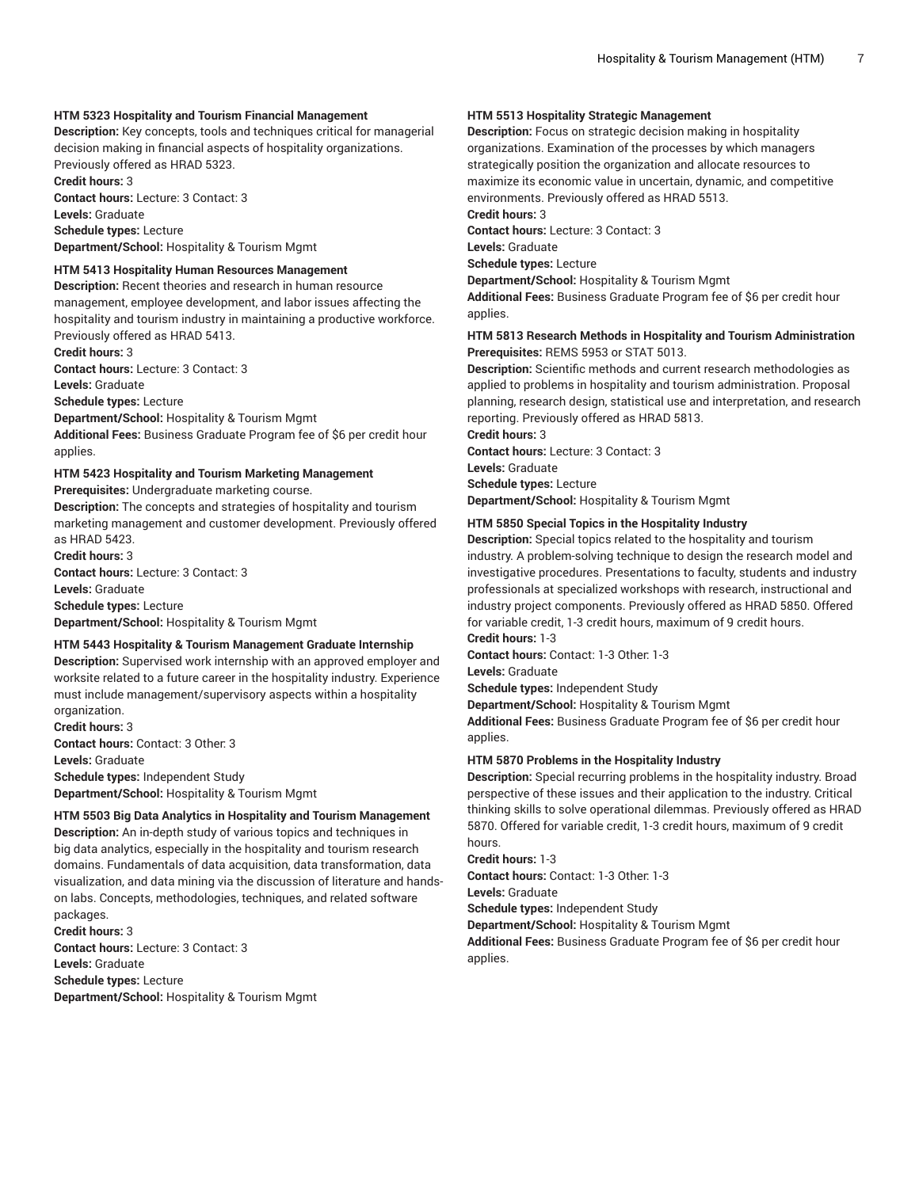## **HTM 5323 Hospitality and Tourism Financial Management**

**Description:** Key concepts, tools and techniques critical for managerial decision making in financial aspects of hospitality organizations. Previously offered as HRAD 5323.

**Credit hours:** 3 **Contact hours:** Lecture: 3 Contact: 3 **Levels:** Graduate **Schedule types:** Lecture

**Department/School:** Hospitality & Tourism Mgmt

#### **HTM 5413 Hospitality Human Resources Management**

**Description:** Recent theories and research in human resource management, employee development, and labor issues affecting the hospitality and tourism industry in maintaining a productive workforce. Previously offered as HRAD 5413.

**Credit hours:** 3 **Contact hours:** Lecture: 3 Contact: 3 **Levels:** Graduate

**Schedule types:** Lecture

**Department/School:** Hospitality & Tourism Mgmt

**Additional Fees:** Business Graduate Program fee of \$6 per credit hour applies.

#### **HTM 5423 Hospitality and Tourism Marketing Management**

**Prerequisites:** Undergraduate marketing course.

**Description:** The concepts and strategies of hospitality and tourism marketing management and customer development. Previously offered as HRAD 5423.

**Credit hours:** 3 **Contact hours:** Lecture: 3 Contact: 3 **Levels:** Graduate **Schedule types:** Lecture **Department/School:** Hospitality & Tourism Mgmt

#### **HTM 5443 Hospitality & Tourism Management Graduate Internship**

**Description:** Supervised work internship with an approved employer and worksite related to a future career in the hospitality industry. Experience must include management/supervisory aspects within a hospitality organization.

**Credit hours:** 3 **Contact hours:** Contact: 3 Other: 3 **Levels:** Graduate **Schedule types:** Independent Study **Department/School:** Hospitality & Tourism Mgmt

**HTM 5503 Big Data Analytics in Hospitality and Tourism Management Description:** An in-depth study of various topics and techniques in big data analytics, especially in the hospitality and tourism research domains. Fundamentals of data acquisition, data transformation, data visualization, and data mining via the discussion of literature and handson labs. Concepts, methodologies, techniques, and related software packages.

**Credit hours:** 3 **Contact hours:** Lecture: 3 Contact: 3 **Levels:** Graduate **Schedule types:** Lecture **Department/School:** Hospitality & Tourism Mgmt

## **HTM 5513 Hospitality Strategic Management**

**Description:** Focus on strategic decision making in hospitality organizations. Examination of the processes by which managers strategically position the organization and allocate resources to maximize its economic value in uncertain, dynamic, and competitive environments. Previously offered as HRAD 5513.

**Credit hours:** 3

**Contact hours:** Lecture: 3 Contact: 3

**Levels:** Graduate

**Schedule types:** Lecture

**Department/School:** Hospitality & Tourism Mgmt

**Additional Fees:** Business Graduate Program fee of \$6 per credit hour applies.

## **HTM 5813 Research Methods in Hospitality and Tourism Administration Prerequisites:** REMS 5953 or STAT 5013.

**Description:** Scientific methods and current research methodologies as applied to problems in hospitality and tourism administration. Proposal planning, research design, statistical use and interpretation, and research reporting. Previously offered as HRAD 5813.

**Credit hours:** 3

**Contact hours:** Lecture: 3 Contact: 3 **Levels:** Graduate **Schedule types:** Lecture

**Department/School:** Hospitality & Tourism Mgmt

#### **HTM 5850 Special Topics in the Hospitality Industry**

**Description:** Special topics related to the hospitality and tourism industry. A problem-solving technique to design the research model and investigative procedures. Presentations to faculty, students and industry professionals at specialized workshops with research, instructional and industry project components. Previously offered as HRAD 5850. Offered for variable credit, 1-3 credit hours, maximum of 9 credit hours.

**Credit hours:** 1-3

**Contact hours:** Contact: 1-3 Other: 1-3

**Levels:** Graduate

**Schedule types:** Independent Study

**Department/School:** Hospitality & Tourism Mgmt

**Additional Fees:** Business Graduate Program fee of \$6 per credit hour applies.

#### **HTM 5870 Problems in the Hospitality Industry**

**Description:** Special recurring problems in the hospitality industry. Broad perspective of these issues and their application to the industry. Critical thinking skills to solve operational dilemmas. Previously offered as HRAD 5870. Offered for variable credit, 1-3 credit hours, maximum of 9 credit hours.

**Credit hours:** 1-3

**Contact hours:** Contact: 1-3 Other: 1-3

**Levels:** Graduate

**Schedule types:** Independent Study

**Department/School:** Hospitality & Tourism Mgmt

**Additional Fees:** Business Graduate Program fee of \$6 per credit hour applies.